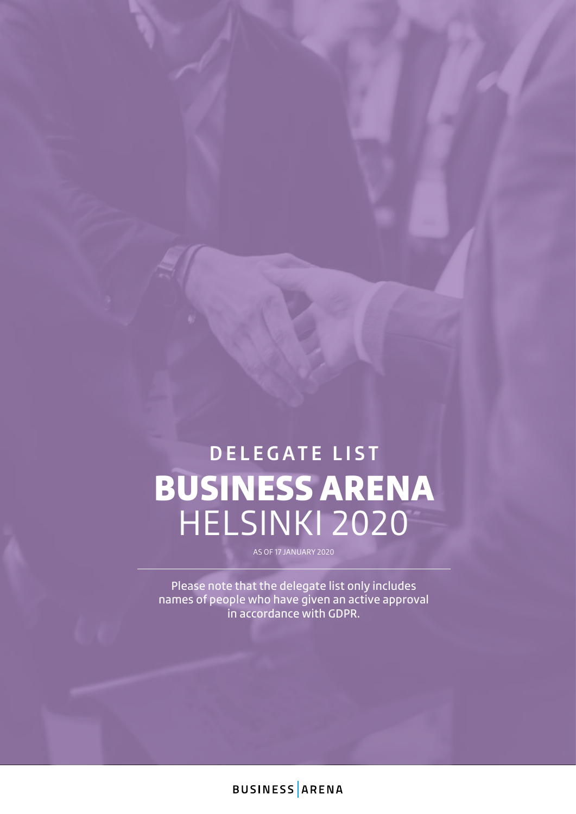# BUSINESS ARENA HELSINKI 2020 **DELEGATE LIST**

AS OF 17 JANUARY 2020

Please note that the delegate list only includes names of people who have given an active approval in accordance with GDPR.

**BUSINESS ARENA**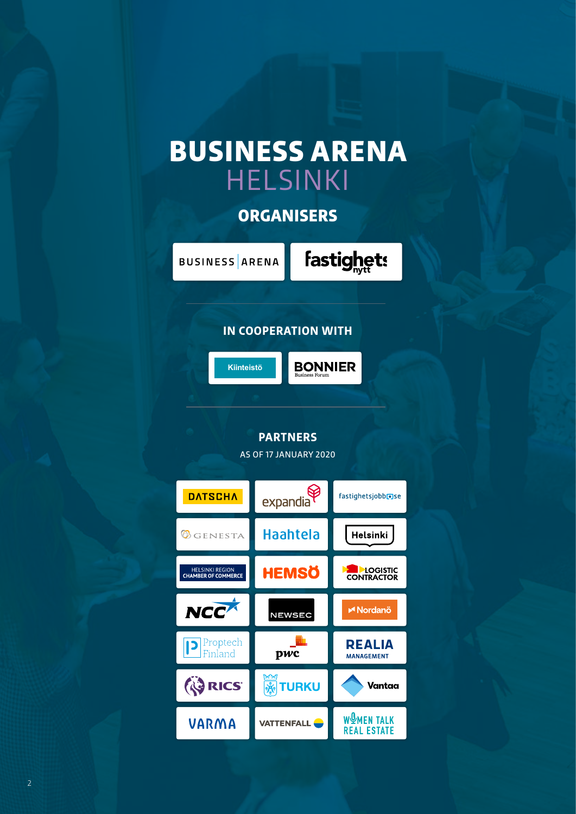# BUSINESS ARENA HELSINKI

## **ORGANISERS**

**BUSINESS** ARENA

fastighets

#### **IN COOPERATION WITH**



**BONNIER** 

### **PARTNERS**

AS OF 17 JANUARY 2020

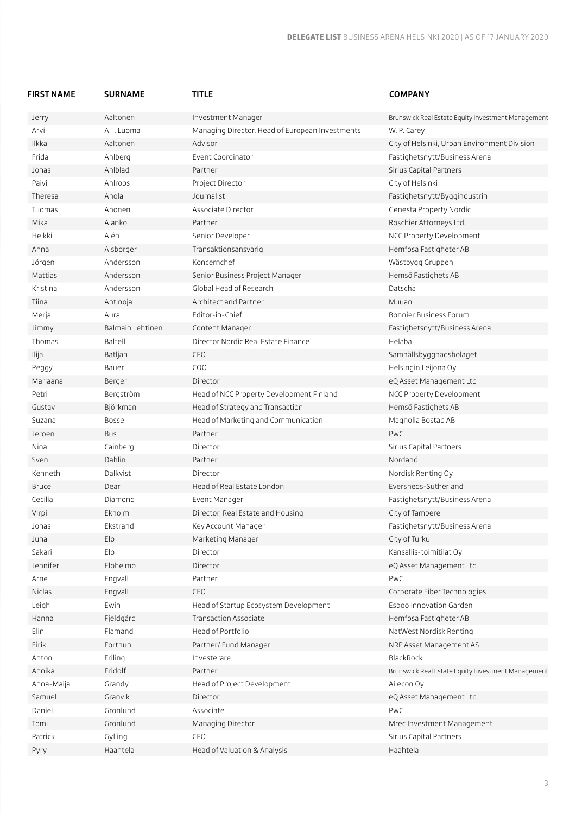| <b>FIRST NAME</b> | <b>SURNAME</b>   | <b>TITLE</b>                                    | <b>COMPANY</b>                                     |
|-------------------|------------------|-------------------------------------------------|----------------------------------------------------|
| Jerry             | Aaltonen         | Investment Manager                              | Brunswick Real Estate Equity Investment Management |
| Arvi              | A. I. Luoma      | Managing Director, Head of European Investments | W. P. Carey                                        |
| Ilkka             | Aaltonen         | Advisor                                         | City of Helsinki, Urban Environment Division       |
| Frida             | Ahlberg          | Event Coordinator                               | Fastighetsnytt/Business Arena                      |
| Jonas             | Ahlblad          | Partner                                         | Sirius Capital Partners                            |
| Päivi             | Ahlroos          | Project Director                                | City of Helsinki                                   |
| Theresa           | Ahola            | Journalist                                      | Fastighetsnytt/Byggindustrin                       |
| Tuomas            | Ahonen           | Associate Director                              | Genesta Property Nordic                            |
| Mika              | Alanko           | Partner                                         | Roschier Attorneys Ltd.                            |
| Heikki            | Alén             | Senior Developer                                | NCC Property Development                           |
| Anna              | Alsborger        | Transaktionsansvarig                            | Hemfosa Fastigheter AB                             |
| Jörgen            | Andersson        | Koncernchef                                     | Wästbygg Gruppen                                   |
| Mattias           | Andersson        | Senior Business Project Manager                 | Hemsö Fastighets AB                                |
| Kristina          | Andersson        | Global Head of Research                         | Datscha                                            |
| Tiina             | Antinoja         | Architect and Partner                           | Muuan                                              |
| Merja             | Aura             | Editor-in-Chief                                 | Bonnier Business Forum                             |
| Jimmy             | Balmain Lehtinen | Content Manager                                 | Fastighetsnytt/Business Arena                      |
| Thomas            | Baltell          | Director Nordic Real Estate Finance             | Helaba                                             |
| Ilija             | Batljan          | CEO                                             | Samhällsbyggnadsbolaget                            |
| Peggy             | Bauer            | COO                                             | Helsingin Leijona Oy                               |
| Marjaana          | Berger           | Director                                        | eQ Asset Management Ltd                            |
| Petri             | Bergström        | Head of NCC Property Development Finland        | NCC Property Development                           |
| Gustav            | Björkman         | Head of Strategy and Transaction                | Hemsö Fastighets AB                                |
| Suzana            | Bossel           | Head of Marketing and Communication             | Magnolia Bostad AB                                 |
| Jeroen            | Bus              | Partner                                         | PwC                                                |
| Nina              | Cainberg         | Director                                        | Sirius Capital Partners                            |
| Sven              | Dahlin           | Partner                                         | Nordanö                                            |
| Kenneth           | Dalkvist         | Director                                        | Nordisk Renting Oy                                 |
| <b>Bruce</b>      | Dear             | Head of Real Estate London                      | Eversheds-Sutherland                               |
| Cecilia           | Diamond          | Event Manager                                   | Fastighetsnytt/Business Arena                      |
| Virpi             | Ekholm           | Director, Real Estate and Housing               | City of Tampere                                    |
| Jonas             | Ekstrand         | Key Account Manager                             | Fastighetsnytt/Business Arena                      |
| Juha              | Elo              | Marketing Manager                               | City of Turku                                      |
| Sakari            | Elo              | Director                                        | Kansallis-toimitilat Oy                            |
| Jennifer          | Eloheimo         | Director                                        | eQ Asset Management Ltd                            |
| Arne              | Engvall          | Partner                                         | PwC                                                |
| Niclas            | Engvall          | CEO                                             | Corporate Fiber Technologies                       |
| Leigh             | Ewin             | Head of Startup Ecosystem Development           | Espoo Innovation Garden                            |
| Hanna             | Fjeldgård        | Transaction Associate                           | Hemfosa Fastigheter AB                             |
| Elin              | Flamand          | Head of Portfolio                               | NatWest Nordisk Renting                            |
| Eirik             | Forthun          | Partner/ Fund Manager                           | NRP Asset Management AS                            |
| Anton             | Friling          | Investerare                                     | BlackRock                                          |
| Annika            | Fridolf          | Partner                                         | Brunswick Real Estate Equity Investment Management |
| Anna-Maija        | Grandy           | Head of Project Development                     | Ailecon Oy                                         |
| Samuel            | Granvik          | Director                                        | eQ Asset Management Ltd                            |
| Daniel            | Grönlund         | Associate                                       | PwC                                                |
| Tomi              | Grönlund         | Managing Director                               | Mrec Investment Management                         |
| Patrick           | Gylling          | CEO                                             | Sirius Capital Partners                            |
|                   | Haahtela         | Head of Valuation & Analysis                    | Haahtela                                           |
| Pyry              |                  |                                                 |                                                    |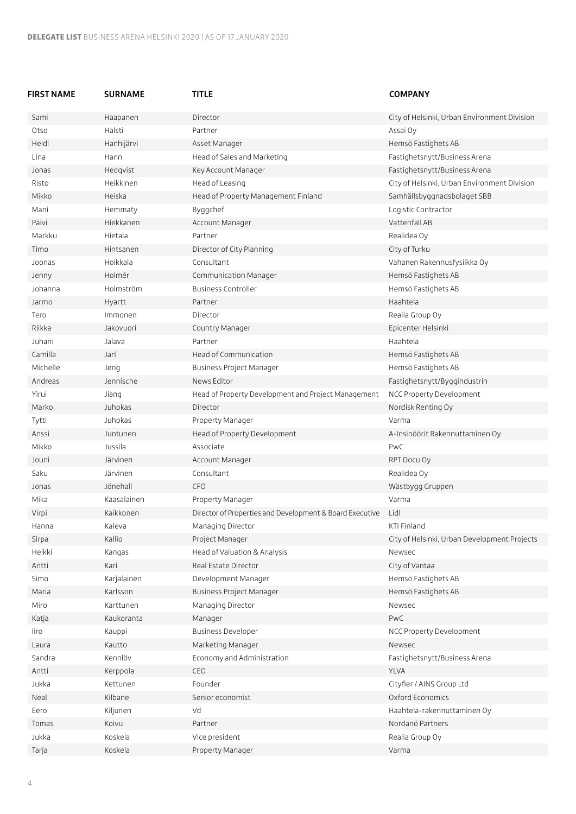| FIRST NAME | <b>SURNAME</b>    | <b>TITLE</b>                                             | <b>COMPANY</b>                               |
|------------|-------------------|----------------------------------------------------------|----------------------------------------------|
| Sami       | Haapanen          | Director                                                 | City of Helsinki, Urban Environment Division |
| Otso       | Halsti            | Partner                                                  | Assai Oy                                     |
| Heidi      | Hanhijärvi        | Asset Manager                                            | Hemsö Fastighets AB                          |
| Lina       | Hann              | Head of Sales and Marketing                              | Fastighetsnytt/Business Arena                |
| Jonas      | Hedqvist          | Key Account Manager                                      | Fastighetsnytt/Business Arena                |
| Risto      | Heikkinen         | Head of Leasing                                          | City of Helsinki, Urban Environment Division |
| Mikko      | Heiska            | Head of Property Management Finland                      | Samhällsbyggnadsbolaget SBB                  |
| Mani       | Hemmaty           | Byggchef                                                 | Logistic Contractor                          |
| Päivi      | Hiekkanen         | Account Manager                                          | Vattenfall AB                                |
| Markku     | Hietala           | Partner                                                  | Realidea Oy                                  |
| Timo       | Hintsanen         | Director of City Planning                                | City of Turku                                |
| Joonas     | Hoikkala          | Consultant                                               | Vahanen Rakennusfysiikka Oy                  |
| Jenny      | Holmér            | Communication Manager                                    | Hemsö Fastighets AB                          |
| Johanna    | Holmström         | <b>Business Controller</b>                               | Hemsö Fastighets AB                          |
| Jarmo      | Hyartt            | Partner                                                  | Haahtela                                     |
| Tero       | Immonen           | Director                                                 | Realia Group Oy                              |
| Riikka     | Jakovuori         | Country Manager                                          | Epicenter Helsinki                           |
| Juhani     | Jalava            | Partner                                                  | Haahtela                                     |
| Camilla    | Jarl              | Head of Communication                                    | Hemsö Fastighets AB                          |
| Michelle   | Jeng              | <b>Business Project Manager</b>                          | Hemsö Fastighets AB                          |
| Andreas    | Jennische         | News Editor                                              | Fastighetsnytt/Byggindustrin                 |
| Yirui      | Jiang             | Head of Property Development and Project Management      | NCC Property Development                     |
| Marko      | Juhokas           | Director                                                 | Nordisk Renting Oy                           |
| Tytti      | Juhokas           | Property Manager                                         | Varma                                        |
| Anssi      | Juntunen          | Head of Property Development                             | A-Insinöörit Rakennuttaminen Oy              |
| Mikko      | Jussila           | Associate                                                | PwC                                          |
| Jouni      | Järvinen          | Account Manager                                          | RPT Docu Oy                                  |
| Saku       | Järvinen          | Consultant                                               | Realidea Oy                                  |
| Jonas      | Jönehall          | <b>CFO</b>                                               | Wästbygg Gruppen                             |
| Mika       | Kaasalainen       | Property Manager                                         | Varma                                        |
| Virpi      | Kaikkonen         | Director of Properties and Development & Board Executive | Lidl                                         |
| Hanna      | Kaleva            | Managing Director                                        | KTI Finland                                  |
| Sirpa      | Kallio            | Project Manager                                          | City of Helsinki, Urban Development Projects |
| Heikki     | Kangas            | Head of Valuation & Analysis                             | Newsec                                       |
| Antti      | Kari              | Real Estate Director                                     | City of Vantaa                               |
| Simo       | Karjalainen       | Development Manager                                      | Hemsö Fastighets AB                          |
| Maria      | Karlsson          | Business Project Manager                                 | Hemsö Fastighets AB                          |
| Miro       | Karttunen         | Managing Director                                        | Newsec                                       |
| Katja      | Kaukoranta        | Manager                                                  | PwC                                          |
| liro       |                   | <b>Business Developer</b>                                | NCC Property Development                     |
|            | Kauppi            |                                                          | Newsec                                       |
| Laura      | Kautto<br>Kennlöv | Marketing Manager                                        |                                              |
| Sandra     |                   | Economy and Administration                               | Fastighetsnytt/Business Arena                |
| Antti      | Kerppola          | CEO                                                      | <b>YLVA</b>                                  |
| Jukka      | Kettunen          | Founder                                                  | Cityfier / AINS Group Ltd                    |
| Neal       | Kilbane           | Senior economist                                         | Oxford Economics                             |
| Eero       | Kiljunen          | Vd                                                       | Haahtela-rakennuttaminen Oy                  |
| Tomas      | Koivu             | Partner                                                  | Nordanö Partners                             |
| Jukka      | Koskela           | Vice president                                           | Realia Group Oy                              |
| Tarja      | Koskela           | Property Manager                                         | Varma                                        |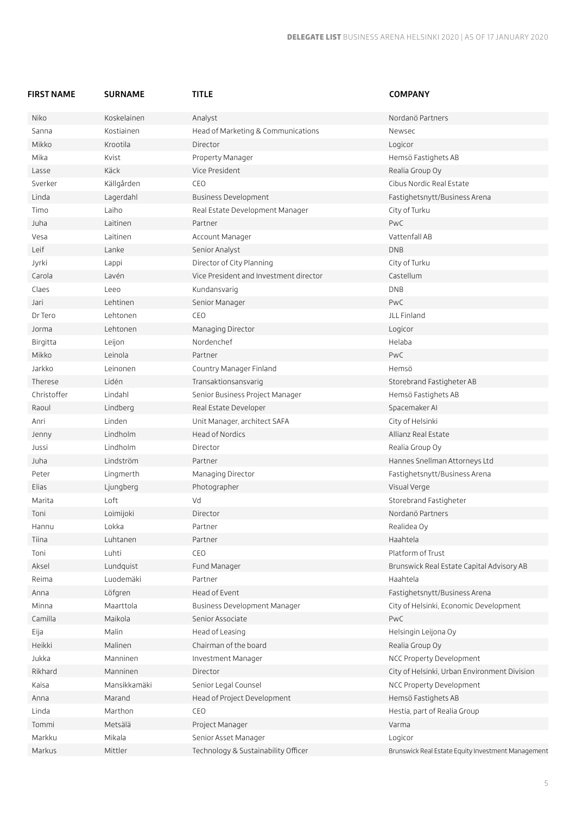| FIRST NAME  | <b>SURNAME</b> | <b>TITLE</b>                           | <b>COMPANY</b>                                     |
|-------------|----------------|----------------------------------------|----------------------------------------------------|
| Niko        | Koskelainen    | Analyst                                | Nordanö Partners                                   |
| Sanna       | Kostiainen     | Head of Marketing & Communications     | Newsec                                             |
| Mikko       | Krootila       | Director                               | Logicor                                            |
| Mika        | Kvist          | Property Manager                       | Hemsö Fastighets AB                                |
| Lasse       | Käck           | Vice President                         | Realia Group Oy                                    |
| Sverker     | Källgården     | CEO                                    | Cibus Nordic Real Estate                           |
| Linda       | Lagerdahl      | Business Development                   | Fastighetsnytt/Business Arena                      |
| Timo        | Laiho          | Real Estate Development Manager        | City of Turku                                      |
| Juha        | Laitinen       | Partner                                | PwC                                                |
| Vesa        | Laitinen       | Account Manager                        | Vattenfall AB                                      |
| Leif        | Lanke          | Senior Analyst                         | <b>DNB</b>                                         |
| Jyrki       | Lappi          | Director of City Planning              | City of Turku                                      |
| Carola      | Lavén          | Vice President and Investment director | Castellum                                          |
| Claes       | Leeo           | Kundansvarig                           | DNB                                                |
| Jari        | Lehtinen       | Senior Manager                         | PwC                                                |
| Dr Tero     | Lehtonen       | CEO                                    | JLL Finland                                        |
| Jorma       | Lehtonen       | Managing Director                      | Logicor                                            |
| Birgitta    | Leijon         | Nordenchef                             | Helaba                                             |
| Mikko       | Leinola        | Partner                                | PwC                                                |
| Jarkko      | Leinonen       | Country Manager Finland                | Hemsö                                              |
| Therese     | Lidén          | Transaktionsansvarig                   | Storebrand Fastigheter AB                          |
| Christoffer | Lindahl        | Senior Business Project Manager        | Hemsö Fastighets AB                                |
| Raoul       | Lindberg       | Real Estate Developer                  | Spacemaker AI                                      |
| Anri        | Linden         | Unit Manager, architect SAFA           | City of Helsinki                                   |
| Jenny       | Lindholm       | Head of Nordics                        | Allianz Real Estate                                |
| Jussi       | Lindholm       | Director                               | Realia Group Oy                                    |
| Juha        | Lindström      | Partner                                | Hannes Snellman Attorneys Ltd                      |
| Peter       | Lingmerth      | Managing Director                      | Fastighetsnytt/Business Arena                      |
| Elias       | Ljungberg      | Photographer                           | Visual Verge                                       |
| Marita      | Loft           | Vd                                     | Storebrand Fastigheter                             |
| Toni        | Loimijoki      | Director                               | Nordanö Partners                                   |
| Hannu       | Lokka          | Partner                                | Realidea Oy                                        |
| Tiina       | Luhtanen       | Partner                                | Haahtela                                           |
| Toni        | Luhti          | CEO                                    | Platform of Trust                                  |
| Aksel       | Lundquist      | Fund Manager                           | Brunswick Real Estate Capital Advisory AB          |
| Reima       | Luodemäki      | Partner                                | Haahtela                                           |
| Anna        | Löfgren        | Head of Event                          | Fastighetsnytt/Business Arena                      |
| Minna       | Maarttola      | Business Development Manager           | City of Helsinki, Economic Development             |
| Camilla     | Maikola        | Senior Associate                       | PwC                                                |
| Eija        | Malin          | Head of Leasing                        | Helsingin Leijona Oy                               |
| Heikki      | Malinen        | Chairman of the board                  | Realia Group Oy                                    |
| Jukka       | Manninen       | Investment Manager                     | NCC Property Development                           |
| Rikhard     | Manninen       | Director                               | City of Helsinki, Urban Environment Division       |
| Kaisa       | Mansikkamäki   | Senior Legal Counsel                   | NCC Property Development                           |
| Anna        | Marand         | Head of Project Development            | Hemsö Fastighets AB                                |
| Linda       | Marthon        | CEO                                    | Hestia, part of Realia Group                       |
| Tommi       | Metsälä        | Project Manager                        | Varma                                              |
| Markku      | Mikala         | Senior Asset Manager                   | Logicor                                            |
| Markus      | Mittler        | Technology & Sustainability Officer    |                                                    |
|             |                |                                        | Brunswick Real Estate Equity Investment Management |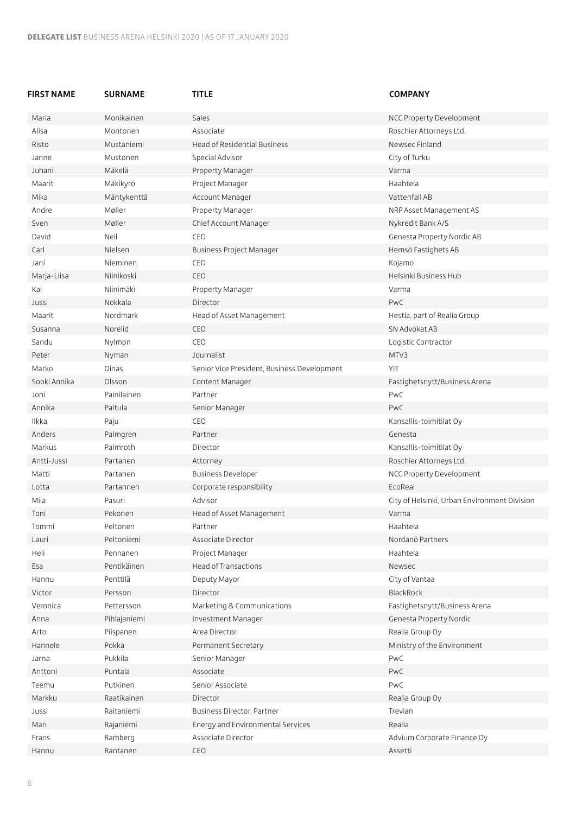| FIRST NAME   | <b>SURNAME</b> | <b>TITLE</b>                                | <b>COMPANY</b>                               |
|--------------|----------------|---------------------------------------------|----------------------------------------------|
| Maria        | Monikainen     | Sales                                       | NCC Property Development                     |
| Alisa        | Montonen       | Associate                                   | Roschier Attorneys Ltd.                      |
| Risto        | Mustaniemi     | Head of Residential Business                | Newsec Finland                               |
| Janne        | Mustonen       | Special Advisor                             | City of Turku                                |
| Juhani       | Mäkelä         | Property Manager                            | Varma                                        |
| Maarit       | Mäkikyrö       | Project Manager                             | Haahtela                                     |
| Mika         | Mäntykenttä    | Account Manager                             | Vattenfall AB                                |
| Andre        | Møller         | Property Manager                            | NRP Asset Management AS                      |
| Sven         | Møller         | Chief Account Manager                       | Nykredit Bank A/S                            |
| David        | Neil           | CEO                                         | Genesta Property Nordic AB                   |
| Carl         | Nielsen        | Business Project Manager                    | Hemsö Fastighets AB                          |
| Jani         | Nieminen       | CEO                                         | Kojamo                                       |
| Marja-Liisa  | Niinikoski     | CEO                                         | Helsinki Business Hub                        |
| Kai          | Niinimäki      | Property Manager                            | Varma                                        |
| Jussi        | Nokkala        | Director                                    | PwC                                          |
| Maarit       | Nordmark       | Head of Asset Management                    | Hestia, part of Realia Group                 |
| Susanna      | Norelid        | CEO                                         | SN Advokat AB                                |
| Sandu        | Nylmon         | CEO                                         | Logistic Contractor                          |
| Peter        | Nyman          | Journalist                                  | MTV3                                         |
| Marko        | Oinas          | Senior Vice President, Business Development | YIT                                          |
| Sooki Annika | Olsson         | Content Manager                             | Fastighetsnytt/Business Arena                |
| Joni         | Painilainen    | Partner                                     | PwC                                          |
| Annika       | Paitula        | Senior Manager                              | PwC                                          |
| Ilkka        | Paju           | CEO                                         | Kansallis-toimitilat Oy                      |
| Anders       | Palmgren       | Partner                                     | Genesta                                      |
| Markus       | Palmroth       | Director                                    | Kansallis-toimitilat Oy                      |
| Antti-Jussi  | Partanen       | Attorney                                    | Roschier Attorneys Ltd.                      |
| Matti        | Partanen       | <b>Business Developer</b>                   | NCC Property Development                     |
| Lotta        | Partannen      | Corporate responsibility                    | EcoReal                                      |
| Miia         | Pasuri         | Advisor                                     | City of Helsinki, Urban Environment Division |
| Toni         | Pekonen        | Head of Asset Management                    | Varma                                        |
| <b>Iommi</b> | Peltonen       | Partner                                     | Haahtela                                     |
| Lauri        | Peltoniemi     | Associate Director                          | Nordanö Partners                             |
| Heli         | Pennanen       | Project Manager                             | Haahtela                                     |
| Esa          | Pentikäinen    | Head of Transactions                        | Newsec                                       |
| Hannu        | Penttilä       | Deputy Mayor                                | City of Vantaa                               |
| Victor       | Persson        | Director                                    | BlackRock                                    |
| Veronica     | Pettersson     | Marketing & Communications                  | Fastighetsnytt/Business Arena                |
| Anna         | Pihlajaniemi   | Investment Manager                          | Genesta Property Nordic                      |
| Arto         | Piispanen      | Area Director                               | Realia Group Oy                              |
| Hannele      | Pokka          | Permanent Secretary                         | Ministry of the Environment                  |
| Jarna        | Pukkila        | Senior Manager                              | PwC                                          |
| Anttoni      | Puntala        | Associate                                   | PwC                                          |
| Teemu        | Putkinen       | Senior Associate                            | PwC                                          |
| Markku       | Raatikainen    | Director                                    | Realia Group Oy                              |
| Jussi        | Raitaniemi     | Business Director, Partner                  | Trevian                                      |
| Mari         | Rajaniemi      | Energy and Environmental Services           | Realia                                       |
| Frans        | Ramberg        | Associate Director                          | Advium Corporate Finance Oy                  |
|              |                |                                             |                                              |

Hannu Rantanen CEO Assetti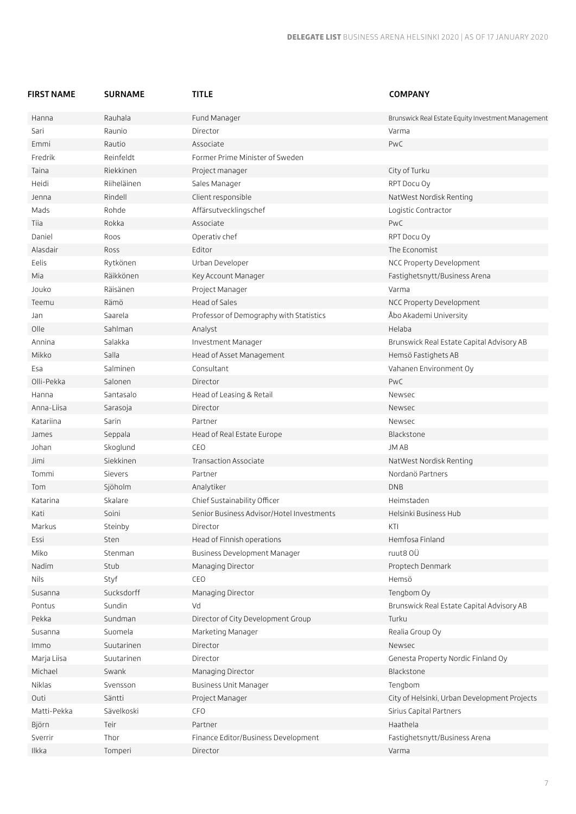| FIRST NAME  | <b>SURNAME</b> | <b>TITLE</b>                              | <b>COMPANY</b>                                     |
|-------------|----------------|-------------------------------------------|----------------------------------------------------|
| Hanna       | Rauhala        | Fund Manager                              | Brunswick Real Estate Equity Investment Management |
| Sari        | Raunio         | Director                                  | Varma                                              |
| Emmi        | Rautio         | Associate                                 | PwC                                                |
| Fredrik     | Reinfeldt      | Former Prime Minister of Sweden           |                                                    |
| Taina       | Riekkinen      | Project manager                           | City of Turku                                      |
| Heidi       | Riiheläinen    | Sales Manager                             | RPT Docu Oy                                        |
| Jenna       | Rindell        | Client responsible                        | NatWest Nordisk Renting                            |
| Mads        | Rohde          | Affärsutvecklingschef                     | Logistic Contractor                                |
| Tiia        | Rokka          | Associate                                 | PwC                                                |
| Daniel      | Roos           | Operativ chef                             | RPT Docu Oy                                        |
| Alasdair    | Ross           | Editor                                    | The Economist                                      |
| Eelis       | Rytkönen       | Urban Developer                           | NCC Property Development                           |
| Mia         | Räikkönen      | Key Account Manager                       | Fastighetsnytt/Business Arena                      |
| Jouko       | Räisänen       | Project Manager                           | Varma                                              |
| Teemu       | Rämö           | Head of Sales                             | NCC Property Development                           |
| Jan         | Saarela        | Professor of Demography with Statistics   | Åbo Akademi University                             |
| Olle        | Sahlman        | Analyst                                   | Helaba                                             |
| Annina      | Salakka        | Investment Manager                        | Brunswick Real Estate Capital Advisory AB          |
| Mikko       | Salla          | Head of Asset Management                  | Hemsö Fastighets AB                                |
| Esa         | Salminen       | Consultant                                | Vahanen Environment Oy                             |
| Olli-Pekka  | Salonen        | Director                                  | PwC                                                |
| Hanna       | Santasalo      | Head of Leasing & Retail                  | Newsec                                             |
| Anna-Liisa  | Sarasoja       | Director                                  | Newsec                                             |
| Katariina   | Sarin          | Partner                                   | Newsec                                             |
| James       | Seppala        | Head of Real Estate Europe                | Blackstone                                         |
| Johan       | Skoglund       | CEO                                       | JM AB                                              |
| Jimi        | Siekkinen      | Transaction Associate                     | NatWest Nordisk Renting                            |
| Tommi       | Sievers        | Partner                                   | Nordanö Partners                                   |
| Tom         | Sjöholm        | Analytiker                                | <b>DNB</b>                                         |
| Katarina    | Skalare        | Chief Sustainability Officer              | Heimstaden                                         |
| Kati        | Soini          | Senior Business Advisor/Hotel Investments | Helsinki Business Hub                              |
| Markus      | Steinby        | Director                                  | KTI                                                |
| Essi        | Sten           | Head of Finnish operations                | Hemfosa Finland                                    |
| Miko        | Stenman        | Business Development Manager              | ruut8 OÜ                                           |
| Nadim       | Stub           | Managing Director                         | Proptech Denmark                                   |
| <b>Nils</b> | Styf           | CEO                                       | Hemsö                                              |
| Susanna     | Sucksdorff     | Managing Director                         | Tengbom Oy                                         |
| Pontus      | Sundin         | Vd                                        | Brunswick Real Estate Capital Advisory AB          |
| Pekka       | Sundman        | Director of City Development Group        | Turku                                              |
| Susanna     | Suomela        | Marketing Manager                         | Realia Group Oy                                    |
| Immo        | Suutarinen     | Director                                  | Newsec                                             |
| Marja Liisa | Suutarinen     | Director                                  | Genesta Property Nordic Finland Oy                 |
| Michael     | Swank          | Managing Director                         | Blackstone                                         |
| Niklas      | Svensson       | <b>Business Unit Manager</b>              | Tengbom                                            |
| Outi        | Säntti         | Project Manager                           | City of Helsinki, Urban Development Projects       |
| Matti-Pekka | Sävelkoski     | CFO                                       | Sirius Capital Partners                            |
| Björn       | Teir           | Partner                                   | Haathela                                           |
| Sverrir     | Thor           | Finance Editor/Business Development       | Fastighetsnytt/Business Arena                      |
| Ilkka       | Tomperi        | Director                                  | Varma                                              |
|             |                |                                           |                                                    |